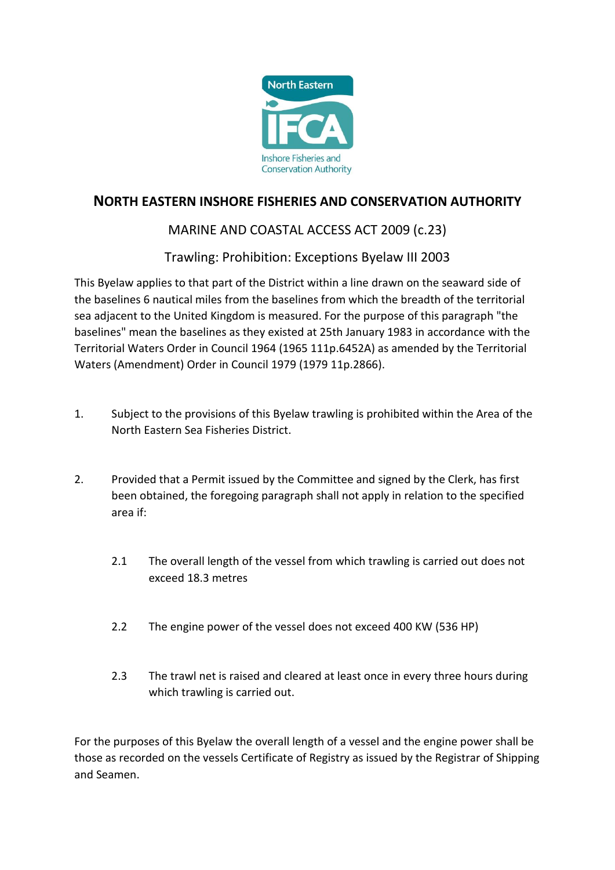

## **NORTH EASTERN INSHORE FISHERIES AND CONSERVATION AUTHORITY**

## MARINE AND COASTAL ACCESS ACT 2009 (c.23)

Trawling: Prohibition: Exceptions Byelaw III 2003

This Byelaw applies to that part of the District within a line drawn on the seaward side of the baselines 6 nautical miles from the baselines from which the breadth of the territorial sea adjacent to the United Kingdom is measured. For the purpose of this paragraph "the baselines" mean the baselines as they existed at 25th January 1983 in accordance with the Territorial Waters Order in Council 1964 (1965 111p.6452A) as amended by the Territorial Waters (Amendment) Order in Council 1979 (1979 11p.2866).

- 1. Subject to the provisions of this Byelaw trawling is prohibited within the Area of the North Eastern Sea Fisheries District.
- 2. Provided that a Permit issued by the Committee and signed by the Clerk, has first been obtained, the foregoing paragraph shall not apply in relation to the specified area if:
	- 2.1 The overall length of the vessel from which trawling is carried out does not exceed 18.3 metres
	- 2.2 The engine power of the vessel does not exceed 400 KW (536 HP)
	- 2.3 The trawl net is raised and cleared at least once in every three hours during which trawling is carried out.

For the purposes of this Byelaw the overall length of a vessel and the engine power shall be those as recorded on the vessels Certificate of Registry as issued by the Registrar of Shipping and Seamen.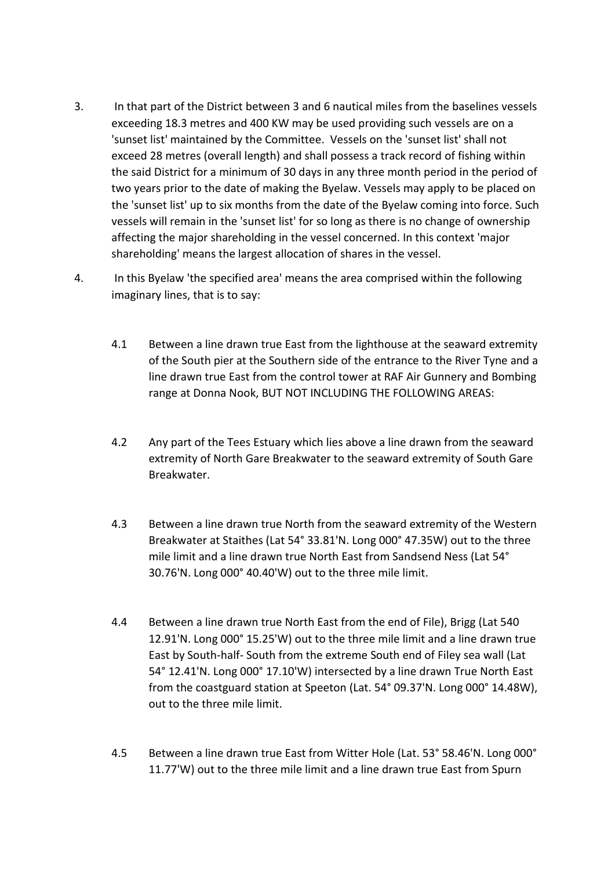- 3. In that part of the District between 3 and 6 nautical miles from the baselines vessels exceeding 18.3 metres and 400 KW may be used providing such vessels are on a 'sunset list' maintained by the Committee. Vessels on the 'sunset list' shall not exceed 28 metres (overall length) and shall possess a track record of fishing within the said District for a minimum of 30 days in any three month period in the period of two years prior to the date of making the Byelaw. Vessels may apply to be placed on the 'sunset list' up to six months from the date of the Byelaw coming into force. Such vessels will remain in the 'sunset list' for so long as there is no change of ownership affecting the major shareholding in the vessel concerned. In this context 'major shareholding' means the largest allocation of shares in the vessel.
- 4. In this Byelaw 'the specified area' means the area comprised within the following imaginary lines, that is to say:
	- 4.1 Between a line drawn true East from the lighthouse at the seaward extremity of the South pier at the Southern side of the entrance to the River Tyne and a line drawn true East from the control tower at RAF Air Gunnery and Bombing range at Donna Nook, BUT NOT INCLUDING THE FOLLOWING AREAS:
	- 4.2 Any part of the Tees Estuary which lies above a line drawn from the seaward extremity of North Gare Breakwater to the seaward extremity of South Gare Breakwater.
	- 4.3 Between a line drawn true North from the seaward extremity of the Western Breakwater at Staithes (Lat 54° 33.81'N. Long 000° 47.35W) out to the three mile limit and a line drawn true North East from Sandsend Ness (Lat 54° 30.76'N. Long 000° 40.40'W) out to the three mile limit.
	- 4.4 Between a line drawn true North East from the end of File), Brigg (Lat 540 12.91'N. Long 000° 15.25'W) out to the three mile limit and a line drawn true East by South-half- South from the extreme South end of Filey sea wall (Lat 54° 12.41'N. Long 000° 17.10'W) intersected by a line drawn True North East from the coastguard station at Speeton (Lat. 54° 09.37'N. Long 000° 14.48W), out to the three mile limit.
	- 4.5 Between a line drawn true East from Witter Hole (Lat. 53° 58.46'N. Long 000° 11.77'W) out to the three mile limit and a line drawn true East from Spurn